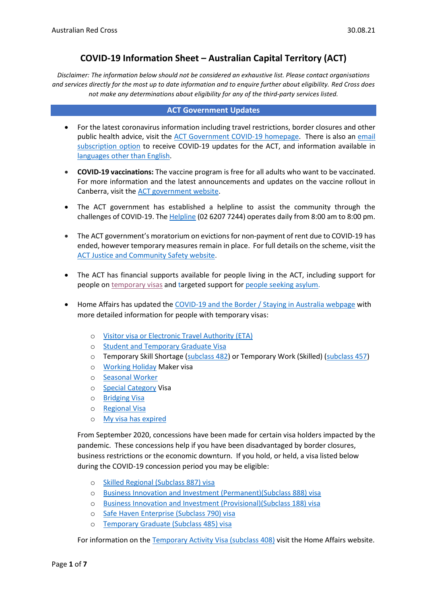# **COVID-19 Information Sheet – Australian Capital Territory (ACT)**

*Disclaimer: The information below should not be considered an exhaustive list. Please contact organisations and services directly for the most up to date information and to enquire further about eligibility. Red Cross does not make any determinations about eligibility for any of the third-party services listed.* 

#### **ACT Government Updates**

- For the latest coronavirus information including travel restrictions, border closures and other public health advice, visit the [ACT Government COVID-19 homepage.](https://www.covid19.act.gov.au/) There is also an email [subscription option](https://www.act.gov.au/our-canberra/subscribe-to-our-canberra) to receive COVID-19 updates for the ACT, and information available in [languages other than English.](https://www.covid19.act.gov.au/languages)
- **COVID-19 vaccinations:** The vaccine program is free for all adults who want to be vaccinated. For more information and the latest announcements and updates on the vaccine rollout in Canberra, visit the [ACT government website.](https://www.covid19.act.gov.au/stay-safe-and-healthy/vaccine)
- The ACT government has established a helpline to assist the community through the challenges of COVID-19. The [Helpline](https://www.covid19.act.gov.au/contact-us) (02 6207 7244) operates daily from 8:00 am to 8:00 pm.
- The ACT government's moratorium on evictions for non-payment of rent due to COVID-19 has ended, however temporary measures remain in place. For full details on the scheme, visit the [ACT Justice and Community Safety website.](https://www.justice.act.gov.au/safer-communities/protection-rights/information-tenants-and-occupants-impacted-covid-19)
- The ACT has financial supports available for people living in the ACT, including support for people o[n temporary visas](https://www.covid19.act.gov.au/community/access-help#Temporary-visa-holders) and targeted support for [people seeking asylum.](https://www.revenue.act.gov.au/covid-19-assistance)
- Home Affairs has updated the COVID-19 and the Border [/ Staying in Australia webpage](https://covid19.homeaffairs.gov.au/staying-australia#13) with more detailed information for people with temporary visas:
	- o [Visitor visa or Electronic Travel Authority \(ETA\)](https://covid19.homeaffairs.gov.au/visitor-visa-or-electronic-travel-authority-eta)
	- o [Student and Temporary](https://covid19.homeaffairs.gov.au/student-and-temporary-graduate-visas) Graduate Visa
	- o Temporary Skill Shortage [\(subclass 482\)](https://covid19.homeaffairs.gov.au/temporary-skill-shortage-visa-subclass-482-or-temporary-work-skilled-visa-subclass-457) or Temporary Work (Skilled) [\(subclass 457\)](https://covid19.homeaffairs.gov.au/temporary-skill-shortage-visa-subclass-482-or-temporary-work-skilled-visa-subclass-457)
	- o [Working Holiday](https://covid19.homeaffairs.gov.au/working-holiday-maker-visa) Maker visa
	- o [Seasonal Worker](https://covid19.homeaffairs.gov.au/seasonal-worker)
	- o [Special Category](https://covid19.homeaffairs.gov.au/special-category-visa) Visa
	- o [Bridging Visa](https://covid19.homeaffairs.gov.au/bridging-visa)
	- o [Regional Visa](https://covid19.homeaffairs.gov.au/regional-visa)
	- o [My visa has expired](https://covid19.homeaffairs.gov.au/my-visa-has-expired)

From September 2020, concessions have been made for certain visa holders impacted by the pandemic. These concessions help if you have been disadvantaged by border closures, business restrictions or the economic downturn. If you hold, or held, a visa listed below during the COVID-19 concession period you may be eligible:

- o [Skilled Regional \(Subclass 887\) visa](https://immi.homeaffairs.gov.au/visas/getting-a-visa/visa-listing/skilled-regional-887)
- o [Business Innovation and Investment \(Permanent\)\(Subclass 888\) visa](https://immi.homeaffairs.gov.au/visas/getting-a-visa/visa-listing/business-innovation-and-investment-888)
- o [Business Innovation and Investment \(Provisional\)\(Subclass 188\) visa](https://immi.homeaffairs.gov.au/visas/getting-a-visa/visa-listing/business-innovation-and-investment-188)
- o [Safe Haven Enterprise \(Subclass 790\) visa](https://immi.homeaffairs.gov.au/visas/getting-a-visa/visa-listing/safe-haven-enterprise-790/safe-haven-enterprise-visa-pathway)
- o [Temporary Graduate \(Subclass 485\) visa](https://immi.homeaffairs.gov.au/visas/getting-a-visa/visa-listing/temporary-graduate-485)

For information on the [Temporary Activity Visa \(subclass 408\)](https://immi.homeaffairs.gov.au/visas/getting-a-visa/visa-listing/temporary-activity-408/australian-government-endorsed-events#Overview) visit the Home Affairs website.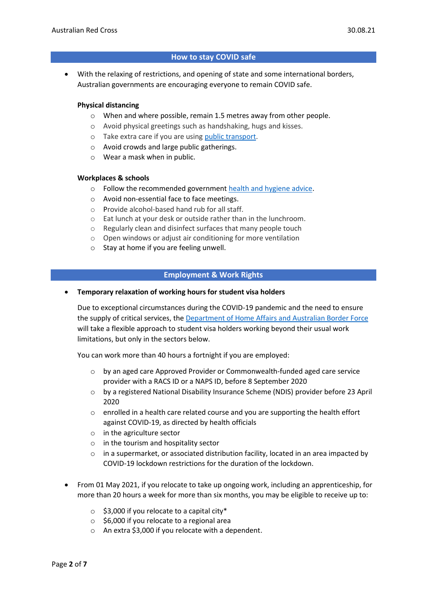### **How to stay COVID safe**

• With the relaxing of restrictions, and opening of state and some international borders, Australian governments are encouraging everyone to remain COVID safe.

#### **Physical distancing**

- $\circ$  When and where possible, remain 1.5 metres away from other people.
- o Avoid physical greetings such as handshaking, hugs and kisses.
- o Take extra care if you are using [public transport.](https://www.infrastructure.gov.au/transport/files/covid19_public_transport_principles_29052020.pdf)
- o Avoid crowds and large public gatherings.
- o Wear a mask when in public.

#### **Workplaces & schools**

- o Follow the recommended government [health and hygiene advice.](https://www.health.gov.au/news/health-alerts/novel-coronavirus-2019-ncov-health-alert/how-to-protect-yourself-and-others-from-coronavirus-covid-19/good-hygiene-for-coronavirus-covid-19)
- o Avoid non-essential face to face meetings.
- o Provide alcohol-based hand rub for all staff.
- o Eat lunch at your desk or outside rather than in the lunchroom.
- o Regularly clean and disinfect surfaces that many people touch
- o Open windows or adjust air conditioning for more ventilation
- o Stay at home if you are feeling unwell.

### **Employment & Work Rights**

#### • **Temporary relaxation of working hours for student visa holders**

Due to exceptional circumstances during the COVID-19 pandemic and the need to ensure the supply of critical services, the [Department of Home Affairs and Australian Border Force](https://immi.homeaffairs.gov.au/visas/getting-a-visa/visa-listing/student-500/temporary-relaxation-of-working-hours-for-student-visa-holders) will take a flexible approach to student visa holders working beyond their usual work limitations, but only in the sectors below.

You can work more than 40 hours a fortnight if you are employed:

- o by an aged care Approved Provider or Commonwealth-funded aged care service provider with a RACS ID or a NAPS ID, before 8 September 2020
- o by a registered National Disability Insurance Scheme (NDIS) provider before 23 April 2020
- $\circ$  enrolled in a health care related course and you are supporting the health effort against COVID-19, as directed by health officials
- o in the agriculture sector
- o in the tourism and hospitality sector
- $\circ$  in a supermarket, or associated distribution facility, located in an area impacted by COVID-19 lockdown restrictions for the duration of the lockdown.
- From 01 May 2021, if you relocate to take up ongoing work, including an apprenticeship, for more than 20 hours a week for more than six months, you may be eligible to receive up to:
	- $\circ$  \$3,000 if you relocate to a capital city\*
	- o \$6,000 if you relocate to a regional area
	- o An extra \$3,000 if you relocate with a dependent.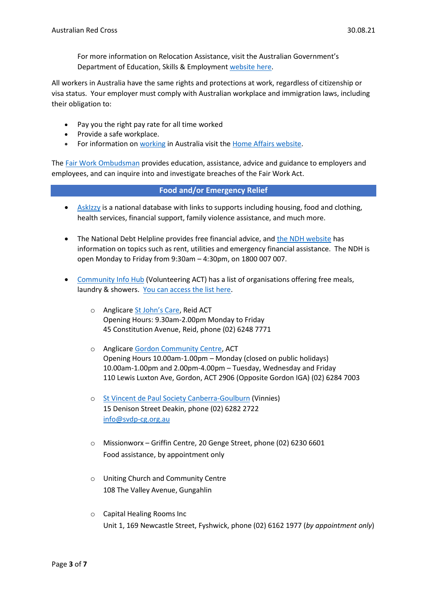For more information on Relocation Assistance, visit the Australian Government's Department of Education, Skills & Employmen[t website here.](https://www.dese.gov.au/rattuaj)

All workers in Australia have the same rights and protections at work, regardless of citizenship or visa status. Your employer must comply with Australian workplace and immigration laws, including their obligation to:

- Pay you the right pay rate for all time worked
- Provide a safe workplace.
- For information on [working](https://immi.homeaffairs.gov.au/visas/getting-a-visa/visa-listing/student-500/temporary-relaxation-of-working-hours-for-student-visa-holders) in Australia visit the [Home Affairs website.](https://immi.homeaffairs.gov.au/visas/working-in-australia)

The Fair Work [Ombudsman](https://www.fairwork.gov.au/) provides education, assistance, advice and guidance to employers and employees, and can inquire into and investigate breaches of the Fair Work Act.

### **Food and/or Emergency Relief**

- [AskIzzy](https://askizzy.org.au/) is a national database with links to supports including housing, food and clothing, health services, financial support, family violence assistance, and much more.
- The National Debt Helpline provides free financial advice, and [the NDH website](https://ndh.org.au/) has information on topics such as rent, utilities and emergency financial assistance. The NDH is open Monday to Friday from 9:30am – 4:30pm, on 1800 007 007.
- [Community Info Hub](https://www.volunteeringact.org.au/community-info-hub/) (Volunteering ACT) has a list of organisations offering free meals, laundry & showers. [You can access the list here.](https://www.volunteeringact.org.au/wp-content/uploads/2021/01/Free-Meal-Emergency-Relief-and-Accommodation-Guide.pdf)
	- o Anglicare [St John's Care](https://www.stjohnscanberra.org/st-johns-care), Reid ACT Opening Hours: 9.30am-2.00pm Monday to Friday 45 Constitution Avenue, Reid, phone (02) 6248 7771
	- o Anglicare [Gordon Community Centre,](https://www.anglicare.com.au/services/mission-community-engagement/survive-and-thrive/gordon/) ACT Opening Hours 10.00am-1.00pm – Monday (closed on public holidays) 10.00am-1.00pm and 2.00pm-4.00pm – Tuesday, Wednesday and Friday 110 Lewis Luxton Ave, Gordon, ACT 2906 (Opposite Gordon IGA) (02) 6284 7003
	- o [St Vincent de Paul Society Canberra-Goulburn](https://www.vinnies.org.au/page/Contacts/ACT/) (Vinnies) 15 Denison Street Deakin, phone (02) 6282 2722 [info@svdp-cg.org.au](mailto:info@svdp-cg.org.au)
	- o Missionworx Griffin Centre, 20 Genge Street, phone (02) 6230 6601 Food assistance, by appointment only
	- o Uniting Church and Community Centre 108 The Valley Avenue, Gungahlin
	- o Capital Healing Rooms Inc Unit 1, 169 Newcastle Street, Fyshwick, phone (02) 6162 1977 (*by appointment only*)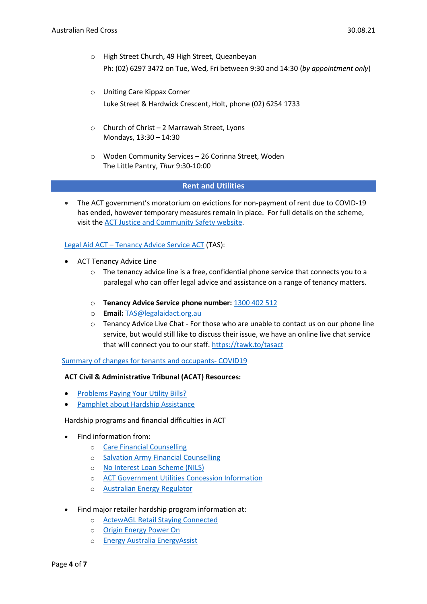- o High Street Church, 49 High Street, Queanbeyan Ph: (02) 6297 3472 on Tue, Wed, Fri between 9:30 and 14:30 (*by appointment only*)
- o Uniting Care Kippax Corner Luke Street & Hardwick Crescent, Holt, phone (02) 6254 1733
- o Church of Christ 2 Marrawah Street, Lyons Mondays, 13:30 – 14:30
- o Woden Community Services 26 Corinna Street, Woden The Little Pantry, *Thur* 9:30-10:00

### **Rent and Utilities**

• The ACT government's moratorium on evictions for non-payment of rent due to COVID-19 has ended, however temporary measures remain in place. For full details on the scheme, visit the [ACT Justice and Community Safety website.](https://www.justice.act.gov.au/safer-communities/protection-rights/information-tenants-and-occupants-impacted-covid-19)

### Legal Aid ACT – [Tenancy Advice Service ACT](http://www.legalaidact.org.au/tasact) (TAS):

- ACT Tenancy Advice Line
	- $\circ$  The tenancy advice line is a free, confidential phone service that connects you to a paralegal who can offer legal advice and assistance on a range of tenancy matters.
	- o **Tenancy Advice Service phone number:** [1300 402 512](tel:1300402512)
	- o **Email:** [TAS@legalaidact.org.au](mailto:TAS@legalaidact.org.au)
	- $\circ$  Tenancy Advice Live Chat For those who are unable to contact us on our phone line service, but would still like to discuss their issue, we have an online live chat service that will connect you to our staff.<https://tawk.to/tasact>

[Summary of changes for tenants and occupants-](https://www.justice.act.gov.au/safer-communities/protection-rights/information-tenants-and-occupants) COVID19

# **ACT Civil & Administrative Tribunal (ACAT) Resources:**

- [Problems Paying Your Utility Bills?](https://www.acat.act.gov.au/case-types/energy-and-water-cases#Problems-paying-your-utility-bills)
- [Pamphlet about Hardship Assistance](https://www.acat.act.gov.au/__data/assets/pdf_file/0004/1365889/energy-and-water-hardship-assistance-pamphlet.pdfpamphlet%20about%20hardship%20assistance%20%5b)

Hardship programs and financial difficulties in ACT

- Find information from:
	- o [Care Financial Counselling](http://www.carefcs.org/financial-counselling-service.html)
	- o [Salvation Army Financial Counselling](https://www.salvationarmy.org.au/need-help/financial-assistance/financial-counselling)
	- o [No Interest Loan Scheme \(NILS\)](http://www.carefcs.org/no-interest-loan-scheme.html)
	- o [ACT Government Utilities Concession Information](https://www.assistance.act.gov.au/adult/utilities/energy_concession)
	- o [Australian Energy Regulator](https://www.aer.gov.au/consumers/my-energy-bill/experiencing-trouble-paying-your-energy-bills)
- Find major retailer hardship program information at:
	- o [ActewAGL Retail Staying Connected](https://www.actewagl.com.au/stayingconnected)
	- o [Origin Energy Power On](https://www.originenergy.com.au/for-home/electricity-and-gas/billing-payments/financial-support.html)
	- o [Energy Australia EnergyAssist](https://www.energyaustralia.com.au/home/bills-and-accounts/hardship-policy/financial-difficulties)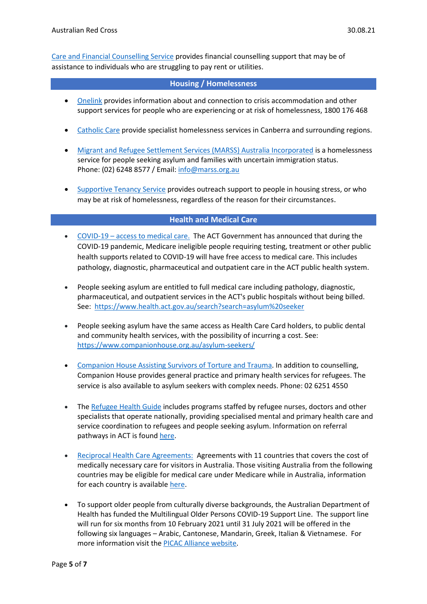[Care and Financial Counselling Service](https://www.carefcs.org/) provides financial counselling support that may be of assistance to individuals who are struggling to pay rent or utilities.

### **Housing / Homelessness**

- [Onelink](https://www.onelink.org.au/) provides information about and connection to crisis accommodation and other support services for people who are experiencing or at risk of homelessness, 1800 176 468
- [Catholic](https://catholiccare.cg.org.au/service/homelessness/) Care provide specialist homelessness services in Canberra and surrounding regions.
- [Migrant and Refugee Settlement Services \(MARSS\) Australia Incorporated](https://www.marss.org.au/homelessness-service) is a homelessness service for people seeking asylum and families with uncertain immigration status. Phone: (02) 6248 8577 / Email[: info@marss.org.au](mailto:info@marss.org.au)
- [Supportive Tenancy Service](https://www.bcsact.com.au/programs-and-services/supportive-tenancy-service) provides outreach support to people in housing stress, or who may be at risk of homelessness, regardless of the reason for their circumstances.

### **Health and Medical Care**

- COVID-19 [access to medical care.](https://www.cmtedd.act.gov.au/open_government/inform/act_government_media_releases/rachel-stephen-smith-mla-media-releases/2020/support-for-medicare-ineligible-patients-during-covid-19) The ACT Government has announced that during the COVID-19 pandemic, Medicare ineligible people requiring testing, treatment or other public health supports related to COVID-19 will have free access to medical care. This includes pathology, diagnostic, pharmaceutical and outpatient care in the ACT public health system.
- People seeking asylum are entitled to full medical care including pathology, diagnostic, pharmaceutical, and outpatient services in the ACT's public hospitals without being billed. See: <https://www.health.act.gov.au/search?search=asylum%20seeker>
- People seeking asylum have the same access as Health Care Card holders, to public dental and community health services, with the possibility of incurring a cost. See: <https://www.companionhouse.org.au/asylum-seekers/>
- [Companion House Assisting Survivors of Torture and](https://www.companionhouse.org.au/) Trauma. In addition to counselling, Companion House provides general practice and primary health services for refugees. The service is also available to asylum seekers with complex needs. Phone: 02 6251 4550
- The [Refugee Health Guide](https://refugeehealthguide.org.au/referrals/) includes programs staffed by refugee nurses, doctors and other specialists that operate nationally, providing specialised mental and primary health care and service coordination to refugees and people seeking asylum. Information on referral pathways in ACT is foun[d here.](https://refugeehealthguide.org.au/referrals/australian-capital-territory/)
- [Reciprocal Health Care Agreements:](https://www.servicesaustralia.gov.au/individuals/services/medicare/reciprocal-health-care-agreements) Agreements with 11 countries that covers the cost of medically necessary care for visitors in Australia. Those visiting Australia from the following countries may be eligible for medical care under Medicare while in Australia, information for each country is available [here.](https://www.servicesaustralia.gov.au/individuals/services/medicare/reciprocal-health-care-agreements/when-you-visit-australia)
- To support older people from culturally diverse backgrounds, the Australian Department of Health has funded the Multilingual Older Persons COVID-19 Support Line. The support line will run for six months from 10 February 2021 until 31 July 2021 will be offered in the following six languages – Arabic, Cantonese, Mandarin, Greek, Italian & Vietnamese. For more information visit the [PICAC Alliance website.](http://www.picacalliance.org/multilingual-older-persons-covid-19-support-line/)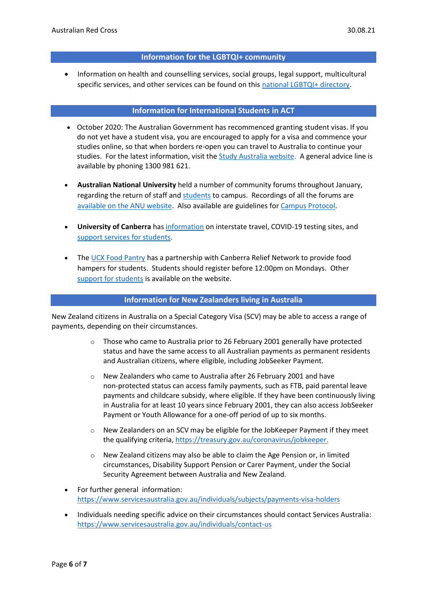#### **Information for the LGBTQI+ community**

• Information on health and counselling services, social groups, legal support, multicultural specific services, and other services can be found on this [national LGBTQI+ directory.](https://docs.google.com/spreadsheets/d/1CTv8NSkImdhclvS_ZJ61t1k33KPE5f4PF0wWApP6aFk/edit#gid=1868596043)

#### **Information for International Students in ACT**

- October 2020: The Australian Government has recommenced granting student visas. If you do not yet have a student visa, you are encouraged to apply for a visa and commence your studies online, so that when borders re-open you can travel to Australia to continue your studies. For the latest information, visit the [Study Australia website.](https://www.studyinaustralia.gov.au/English/Study-in-Australia-student-support/latest-information-and-updates-student-support) A general advice line is available by phoning 1300 981 621.
- **Australian National University** held a number of community forums throughout January, regarding the return of staff and [students](https://www.anu.edu.au/news/all-news/travelling-to-canberra-and-studying-at-anu-in-2021) to campus. Recordings of all the forums are [available on the ANU website.](https://www.anu.edu.au/covid-19-advice/our-covid-safe-community/community-forums) Also available are guidelines fo[r Campus Protocol.](https://www.anu.edu.au/files/document-collection/ANU%20Functions%20on%20Campus%20Protocol_step%203.2_from%209%20October%202020.pdf)
- **University of Canberra** has [information](https://www.canberra.edu.au/coronavirus-advice) on interstate travel, COVID-19 testing sites, and [support services for students.](https://www.canberra.edu.au/coronavirus-advice/support-for-students)
- The [UCX Food Pantry](https://www.canberra.edu.au/coronavirus-advice/support-for-students) has a partnership with Canberra Relief Network to provide food hampers for students. Students should [register](https://bit.ly/345nZ7C) before 12:00pm on Mondays. Other [support for students](https://www.canberra.edu.au/coronavirus-advice/support-for-students) is available on the website.

#### **Information for New Zealanders living in Australia**

New Zealand citizens in Australia on a Special Category Visa (SCV) may be able to access a range of payments, depending on their circumstances.

- $\circ$  Those who came to Australia prior to 26 February 2001 generally have protected status and have the same access to all Australian payments as permanent residents and Australian citizens, where eligible, including JobSeeker Payment.
- o New Zealanders who came to Australia after 26 February 2001 and have non-protected status can access family payments, such as FTB, paid parental leave payments and childcare subsidy, where eligible. If they have been continuously living in Australia for at least 10 years since February 2001, they can also access JobSeeker Payment or Youth Allowance for a one-off period of up to six months.
- $\circ$  New Zealanders on an SCV may be eligible for the JobKeeper Payment if they meet the qualifying criteria[, https://treasury.gov.au/coronavirus/jobkeeper.](https://treasury.gov.au/coronavirus/jobkeeper)
- $\circ$  New Zealand citizens may also be able to claim the Age Pension or, in limited circumstances, Disability Support Pension or Carer Payment, under the Social Security Agreement between Australia and New Zealand.
- For further general information: <https://www.servicesaustralia.gov.au/individuals/subjects/payments-visa-holders>
- Individuals needing specific advice on their circumstances should contact Services Australia: <https://www.servicesaustralia.gov.au/individuals/contact-us>